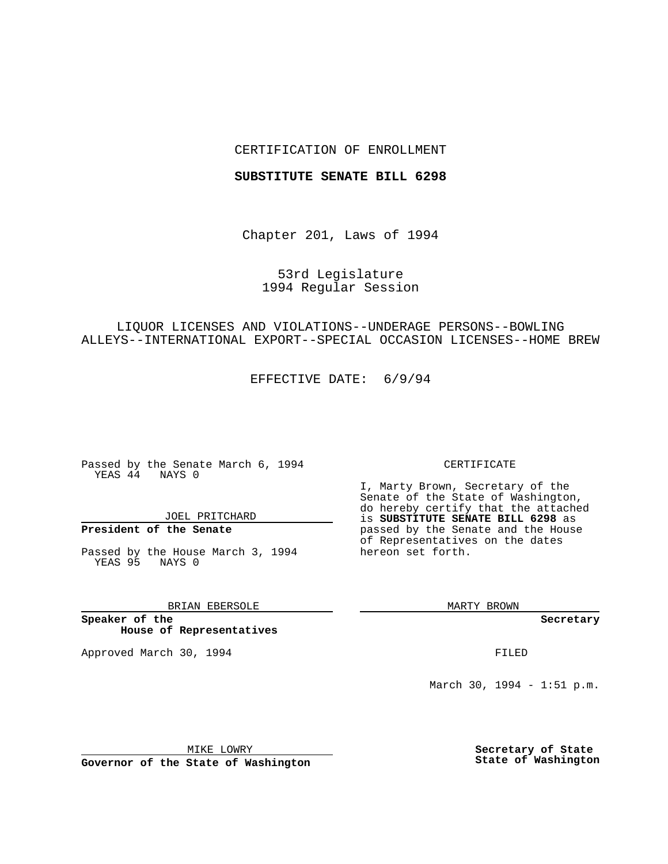## CERTIFICATION OF ENROLLMENT

#### **SUBSTITUTE SENATE BILL 6298**

Chapter 201, Laws of 1994

# 53rd Legislature 1994 Regular Session

# LIQUOR LICENSES AND VIOLATIONS--UNDERAGE PERSONS--BOWLING ALLEYS--INTERNATIONAL EXPORT--SPECIAL OCCASION LICENSES--HOME BREW

EFFECTIVE DATE: 6/9/94

Passed by the Senate March 6, 1994 YEAS 44 NAYS 0

JOEL PRITCHARD

# **President of the Senate**

Passed by the House March 3, 1994 YEAS 95 NAYS 0

## BRIAN EBERSOLE

**Speaker of the House of Representatives**

Approved March 30, 1994 **FILED** 

#### CERTIFICATE

I, Marty Brown, Secretary of the Senate of the State of Washington, do hereby certify that the attached is **SUBSTITUTE SENATE BILL 6298** as passed by the Senate and the House of Representatives on the dates hereon set forth.

MARTY BROWN

**Secretary**

March 30, 1994 - 1:51 p.m.

MIKE LOWRY **Governor of the State of Washington** **Secretary of State State of Washington**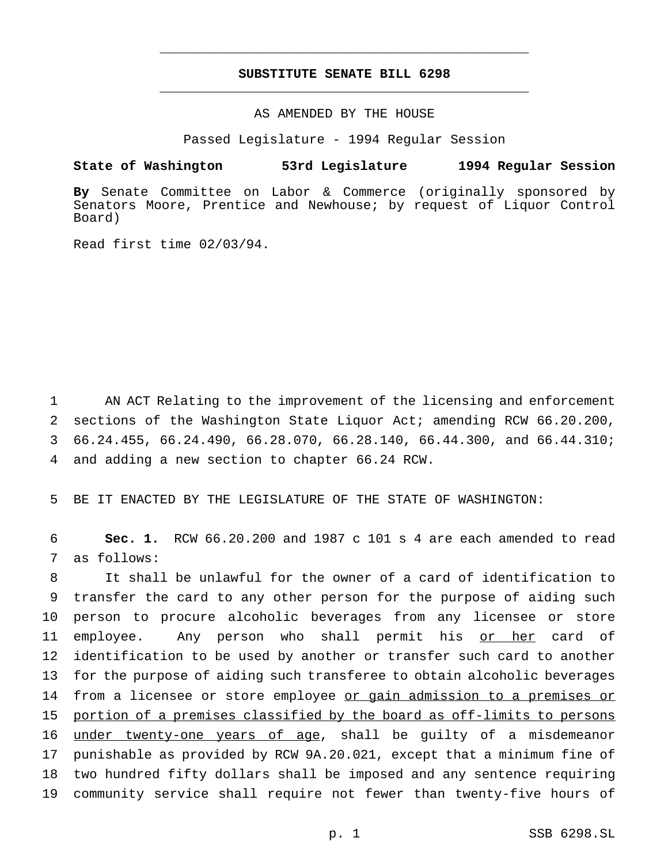## **SUBSTITUTE SENATE BILL 6298** \_\_\_\_\_\_\_\_\_\_\_\_\_\_\_\_\_\_\_\_\_\_\_\_\_\_\_\_\_\_\_\_\_\_\_\_\_\_\_\_\_\_\_\_\_\_\_

\_\_\_\_\_\_\_\_\_\_\_\_\_\_\_\_\_\_\_\_\_\_\_\_\_\_\_\_\_\_\_\_\_\_\_\_\_\_\_\_\_\_\_\_\_\_\_

## AS AMENDED BY THE HOUSE

Passed Legislature - 1994 Regular Session

#### **State of Washington 53rd Legislature 1994 Regular Session**

**By** Senate Committee on Labor & Commerce (originally sponsored by Senators Moore, Prentice and Newhouse; by request of Liquor Control Board)

Read first time 02/03/94.

 AN ACT Relating to the improvement of the licensing and enforcement sections of the Washington State Liquor Act; amending RCW 66.20.200, 66.24.455, 66.24.490, 66.28.070, 66.28.140, 66.44.300, and 66.44.310; and adding a new section to chapter 66.24 RCW.

5 BE IT ENACTED BY THE LEGISLATURE OF THE STATE OF WASHINGTON:

6 **Sec. 1.** RCW 66.20.200 and 1987 c 101 s 4 are each amended to read 7 as follows:

 It shall be unlawful for the owner of a card of identification to transfer the card to any other person for the purpose of aiding such person to procure alcoholic beverages from any licensee or store employee. Any person who shall permit his or her card of identification to be used by another or transfer such card to another for the purpose of aiding such transferee to obtain alcoholic beverages 14 from a licensee or store employee or gain admission to a premises or portion of a premises classified by the board as off-limits to persons 16 under twenty-one years of age, shall be guilty of a misdemeanor punishable as provided by RCW 9A.20.021, except that a minimum fine of two hundred fifty dollars shall be imposed and any sentence requiring community service shall require not fewer than twenty-five hours of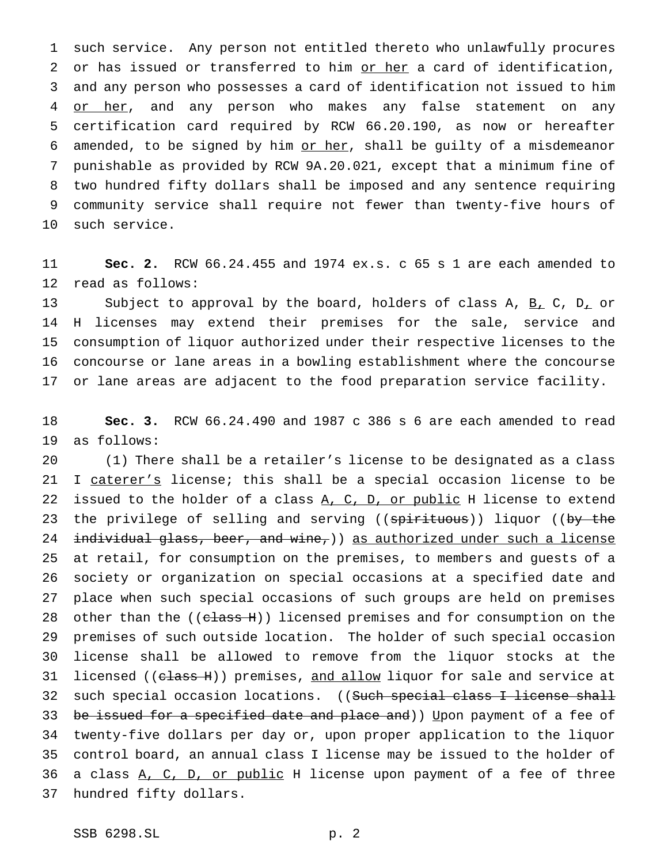such service. Any person not entitled thereto who unlawfully procures 2 or has issued or transferred to him or her a card of identification, and any person who possesses a card of identification not issued to him 4 or her, and any person who makes any false statement on any certification card required by RCW 66.20.190, as now or hereafter 6 amended, to be signed by him or her, shall be guilty of a misdemeanor punishable as provided by RCW 9A.20.021, except that a minimum fine of two hundred fifty dollars shall be imposed and any sentence requiring community service shall require not fewer than twenty-five hours of such service.

 **Sec. 2.** RCW 66.24.455 and 1974 ex.s. c 65 s 1 are each amended to read as follows:

13 Subject to approval by the board, holders of class A, B, C, D, or H licenses may extend their premises for the sale, service and consumption of liquor authorized under their respective licenses to the concourse or lane areas in a bowling establishment where the concourse or lane areas are adjacent to the food preparation service facility.

 **Sec. 3.** RCW 66.24.490 and 1987 c 386 s 6 are each amended to read as follows:

 (1) There shall be a retailer's license to be designated as a class 21 I caterer's license; this shall be a special occasion license to be 22 issued to the holder of a class A, C, D, or public H license to extend 23 the privilege of selling and serving ((spirituous)) liquor ((by the 24 individual glass, beer, and wine,)) as authorized under such a license at retail, for consumption on the premises, to members and guests of a society or organization on special occasions at a specified date and place when such special occasions of such groups are held on premises 28 other than the ((class H)) licensed premises and for consumption on the premises of such outside location. The holder of such special occasion license shall be allowed to remove from the liquor stocks at the 31 licensed ((c<del>lass H</del>)) premises, and allow liquor for sale and service at 32 such special occasion locations. ((Such special class I license shall 33 be issued for a specified date and place and)) Upon payment of a fee of twenty-five dollars per day or, upon proper application to the liquor control board, an annual class I license may be issued to the holder of 36 a class A, C, D, or public H license upon payment of a fee of three hundred fifty dollars.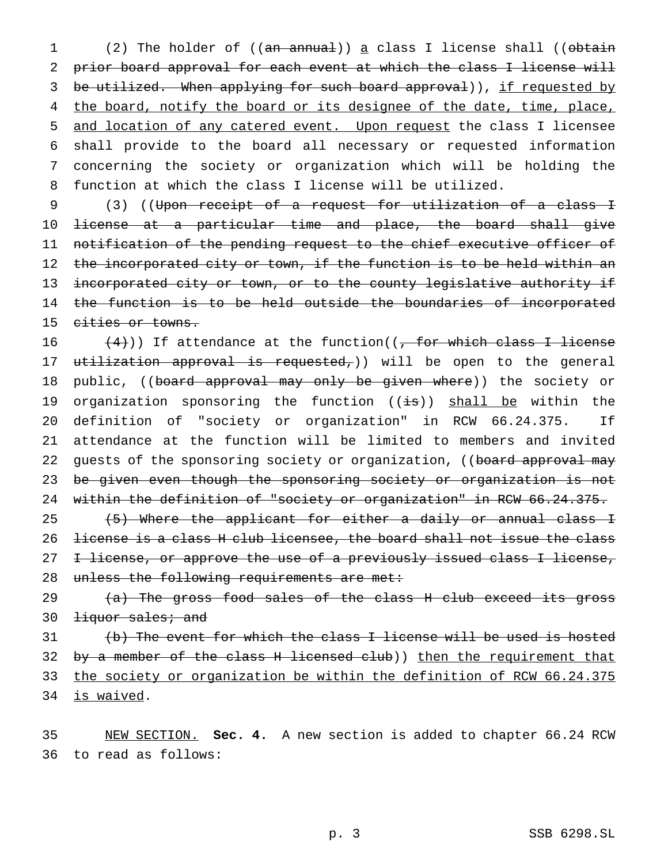1 (2) The holder of ((an annual)) a class I license shall ((obtain prior board approval for each event at which the class I license will 3 be utilized. When applying for such board approval)), if requested by 4 the board, notify the board or its designee of the date, time, place, and location of any catered event. Upon request the class I licensee shall provide to the board all necessary or requested information concerning the society or organization which will be holding the function at which the class I license will be utilized.

9 (3) ((Upon receipt of a request for utilization of a class I 10 license at a particular time and place, the board shall give 11 notification of the pending request to the chief executive officer of 12 the incorporated city or town, if the function is to be held within an 13 incorporated city or town, or to the county legislative authority if 14 the function is to be held outside the boundaries of incorporated 15 cities or towns.

16  $(4)$ )) If attendance at the function(( $\frac{1}{100}$  for which class I license 17 utilization approval is requested,)) will be open to the general 18 public, ((board approval may only be given where)) the society or 19 organization sponsoring the function ((is)) shall be within the 20 definition of "society or organization" in RCW 66.24.375. If 21 attendance at the function will be limited to members and invited 22 guests of the sponsoring society or organization, ((board approval may 23 be given even though the sponsoring society or organization is not 24 within the definition of "society or organization" in RCW 66.24.375. 25 (5) Where the applicant for either a daily or annual class I 26 license is a class H club licensee, the board shall not issue the class

27 <del>I license, or approve the use of a previously issued class I license,</del> 28 unless the following requirements are met:

29  $(a)$  The gross food sales of the class H club exceed its gross 30 <del>liquor sales; and</del>

 (b) The event for which the class I license will be used is hosted 32 by a member of the class H licensed club)) then the requirement that the society or organization be within the definition of RCW 66.24.375 is waived.

35 NEW SECTION. **Sec. 4.** A new section is added to chapter 66.24 RCW 36 to read as follows: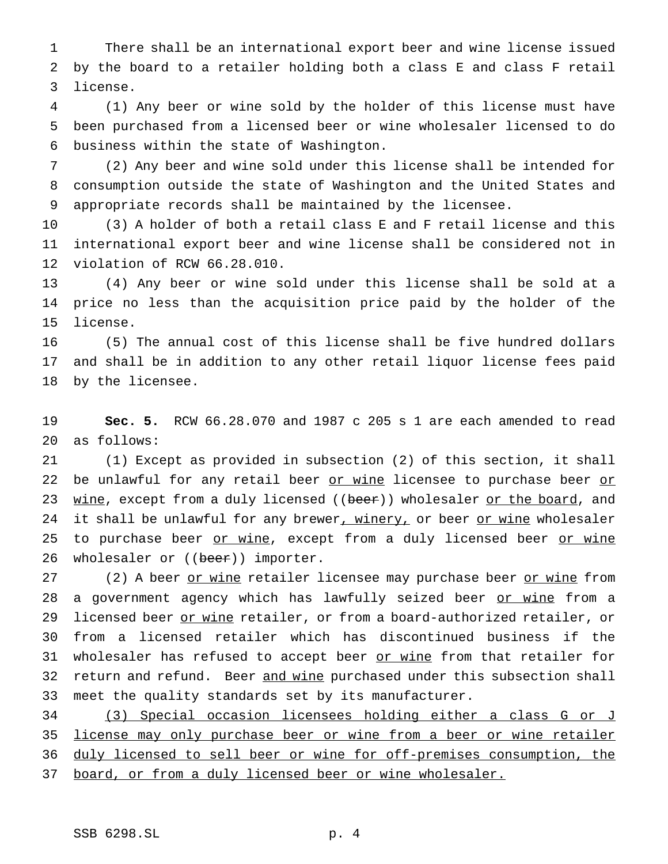There shall be an international export beer and wine license issued by the board to a retailer holding both a class E and class F retail license.

 (1) Any beer or wine sold by the holder of this license must have been purchased from a licensed beer or wine wholesaler licensed to do business within the state of Washington.

 (2) Any beer and wine sold under this license shall be intended for consumption outside the state of Washington and the United States and appropriate records shall be maintained by the licensee.

 (3) A holder of both a retail class E and F retail license and this international export beer and wine license shall be considered not in violation of RCW 66.28.010.

 (4) Any beer or wine sold under this license shall be sold at a price no less than the acquisition price paid by the holder of the license.

 (5) The annual cost of this license shall be five hundred dollars and shall be in addition to any other retail liquor license fees paid by the licensee.

 **Sec. 5.** RCW 66.28.070 and 1987 c 205 s 1 are each amended to read as follows:

 (1) Except as provided in subsection (2) of this section, it shall 22 be unlawful for any retail beer or wine licensee to purchase beer or 23 wine, except from a duly licensed ((beer)) wholesaler or the board, and 24 it shall be unlawful for any brewer, winery, or beer or wine wholesaler 25 to purchase beer or wine, except from a duly licensed beer or wine 26 wholesaler or ((beer)) importer.

27 (2) A beer <u>or wine</u> retailer licensee may purchase beer <u>or wine</u> from 28 a government agency which has lawfully seized beer <u>or wine</u> from a 29 licensed beer or wine retailer, or from a board-authorized retailer, or from a licensed retailer which has discontinued business if the 31 wholesaler has refused to accept beer or wine from that retailer for 32 return and refund. Beer and wine purchased under this subsection shall meet the quality standards set by its manufacturer.

 (3) Special occasion licensees holding either a class G or J 35 license may only purchase beer or wine from a beer or wine retailer duly licensed to sell beer or wine for off-premises consumption, the 37 board, or from a duly licensed beer or wine wholesaler.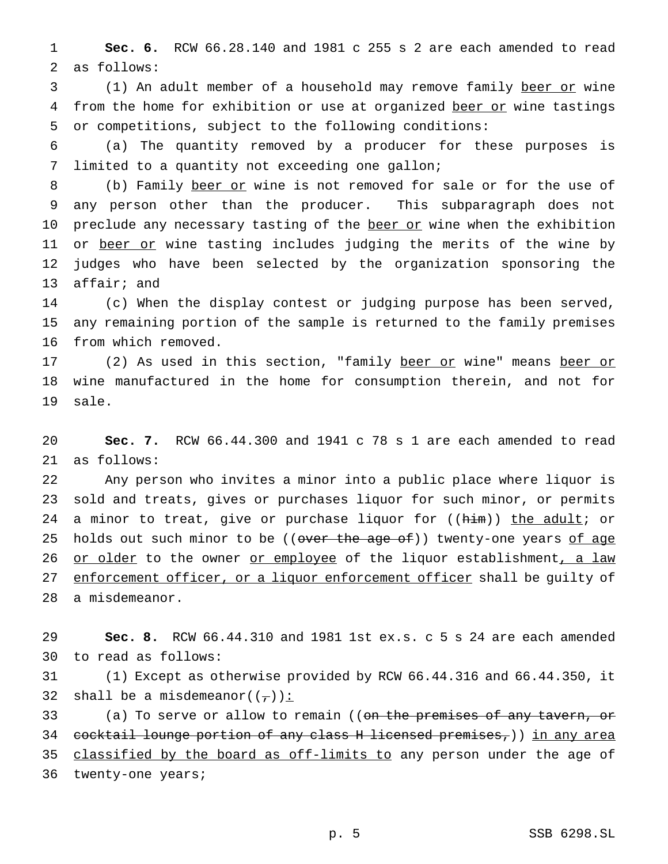1 **Sec. 6.** RCW 66.28.140 and 1981 c 255 s 2 are each amended to read 2 as follows:

3 (1) An adult member of a household may remove family beer or wine 4 from the home for exhibition or use at organized beer or wine tastings 5 or competitions, subject to the following conditions:

6 (a) The quantity removed by a producer for these purposes is 7 limited to a quantity not exceeding one gallon;

8 (b) Family beer or wine is not removed for sale or for the use of 9 any person other than the producer. This subparagraph does not 10 preclude any necessary tasting of the beer or wine when the exhibition 11 or beer or wine tasting includes judging the merits of the wine by 12 judges who have been selected by the organization sponsoring the 13 affair; and

14 (c) When the display contest or judging purpose has been served, 15 any remaining portion of the sample is returned to the family premises 16 from which removed.

17 (2) As used in this section, "family beer or wine" means beer or 18 wine manufactured in the home for consumption therein, and not for 19 sale.

20 **Sec. 7.** RCW 66.44.300 and 1941 c 78 s 1 are each amended to read 21 as follows:

22 Any person who invites a minor into a public place where liquor is 23 sold and treats, gives or purchases liquor for such minor, or permits 24 a minor to treat, give or purchase liquor for ((him)) the adult; or 25 holds out such minor to be ((over the age of)) twenty-one years of age 26 or older to the owner or employee of the liquor establishment, a law 27 enforcement officer, or a liquor enforcement officer shall be quilty of 28 a misdemeanor.

29 **Sec. 8.** RCW 66.44.310 and 1981 1st ex.s. c 5 s 24 are each amended 30 to read as follows:

31 (1) Except as otherwise provided by RCW 66.44.316 and 66.44.350, it 32 shall be a misdemeanor( $(\tau)$ ):

33 (a) To serve or allow to remain ((on the premises of any tavern, or 34 cocktail lounge portion of any class H licensed premises,)) in any area 35 classified by the board as off-limits to any person under the age of 36 twenty-one years;